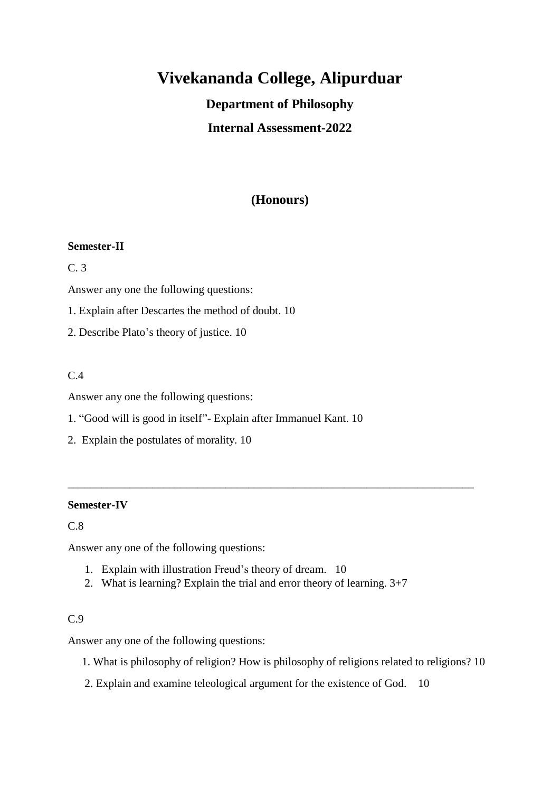# **Vivekananda College, Alipurduar**

## **Department of Philosophy**

## **Internal Assessment-2022**

## **(Honours)**

#### **Semester-II**

#### C. 3

Answer any one the following questions:

1. Explain after Descartes the method of doubt. 10

2. Describe Plato's theory of justice. 10

#### $C.4$

Answer any one the following questions:

- 1. "Good will is good in itself"- Explain after Immanuel Kant. 10
- 2. Explain the postulates of morality. 10

#### **Semester-IV**

C.8

Answer any one of the following questions:

- 1. Explain with illustration Freud's theory of dream. 10
- 2. What is learning? Explain the trial and error theory of learning. 3+7

\_\_\_\_\_\_\_\_\_\_\_\_\_\_\_\_\_\_\_\_\_\_\_\_\_\_\_\_\_\_\_\_\_\_\_\_\_\_\_\_\_\_\_\_\_\_\_\_\_\_\_\_\_\_\_\_\_\_\_\_\_\_\_\_\_\_\_\_\_\_\_\_

#### C.9

Answer any one of the following questions:

- 1. What is philosophy of religion? How is philosophy of religions related to religions? 10
- 2. Explain and examine teleological argument for the existence of God. 10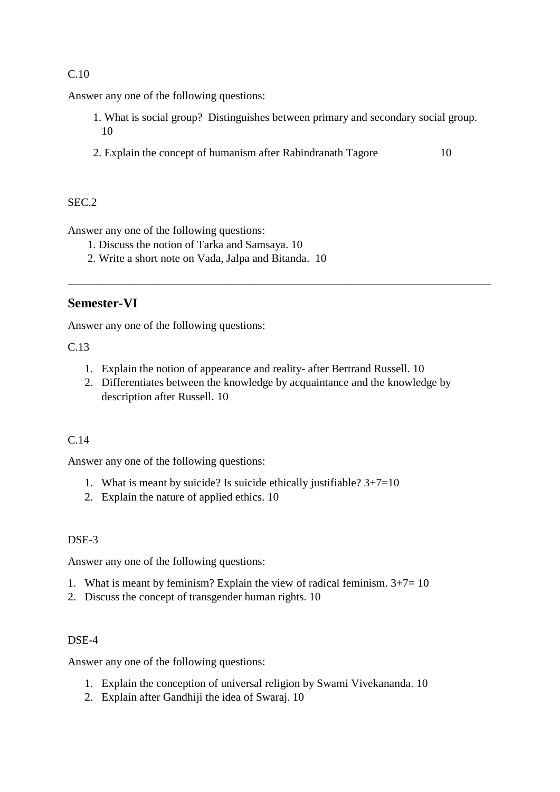## C.10

Answer any one of the following questions:

- 1. What is social group? Distinguishes between primary and secondary social group. 10
- 2. Explain the concept of humanism after Rabindranath Tagore 10

\_\_\_\_\_\_\_\_\_\_\_\_\_\_\_\_\_\_\_\_\_\_\_\_\_\_\_\_\_\_\_\_\_\_\_\_\_\_\_\_\_\_\_\_\_\_\_\_\_\_\_\_\_\_\_\_\_\_\_\_\_\_\_\_\_\_\_\_\_\_\_\_\_\_\_

### $SEC.2$

Answer any one of the following questions:

- 1. Discuss the notion of Tarka and Samsaya. 10
- 2. Write a short note on Vada, Jalpa and Bitanda. 10

## **Semester-VI**

Answer any one of the following questions:

C.13

- 1. Explain the notion of appearance and reality- after Bertrand Russell. 10
- 2. Differentiates between the knowledge by acquaintance and the knowledge by description after Russell. 10

## C.14

Answer any one of the following questions:

- 1. What is meant by suicide? Is suicide ethically justifiable? 3+7=10
- 2. Explain the nature of applied ethics. 10

## DSE-3

Answer any one of the following questions:

- 1. What is meant by feminism? Explain the view of radical feminism.  $3+7=10$
- 2. Discuss the concept of transgender human rights. 10

#### DSE-4

Answer any one of the following questions:

- 1. Explain the conception of universal religion by Swami Vivekananda. 10
- 2. Explain after Gandhiji the idea of Swaraj. 10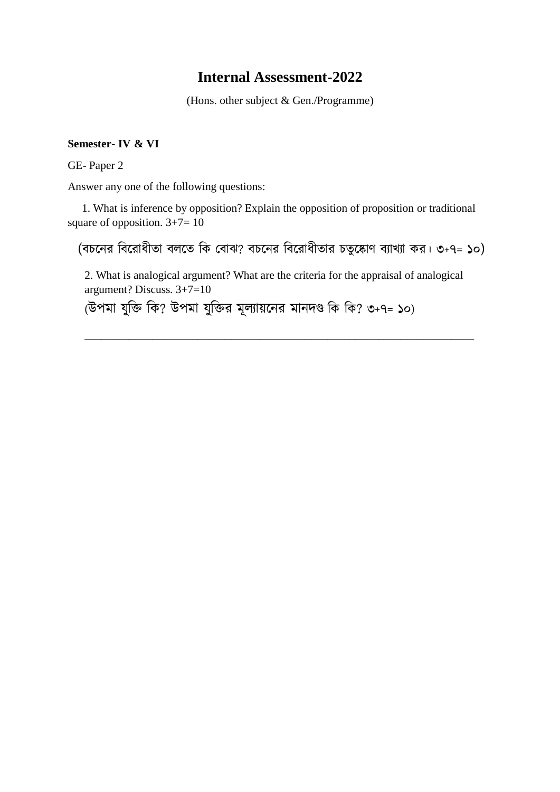## **Internal Assessment-2022**

(Hons. other subject & Gen./Programme)

#### **Semester- IV & VI**

GE- Paper 2

Answer any one of the following questions:

 1. What is inference by opposition? Explain the opposition of proposition or traditional square of opposition.  $3+7=10$ 

(বচনের ববনরোধীতো বলনত বি ববোঝ? বচনের ববনরোধীতোর চতুনকোণ বযোখ্যো ির। ৩+৭= ১০)

2. What is analogical argument? What are the criteria for the appraisal of analogical argument? Discuss. 3+7=10

\_\_\_\_\_\_\_\_\_\_\_\_\_\_\_\_\_\_\_\_\_\_\_\_\_\_\_\_\_\_\_\_\_\_\_\_\_\_\_\_\_\_\_\_\_\_\_\_\_\_\_\_\_\_\_\_\_\_\_\_\_\_\_\_\_\_\_\_\_

(উপমো যুবি বি? উপমো যুবির মূলযোয়নের মোেদণ্ড বি বি? ৩+৭= ১০)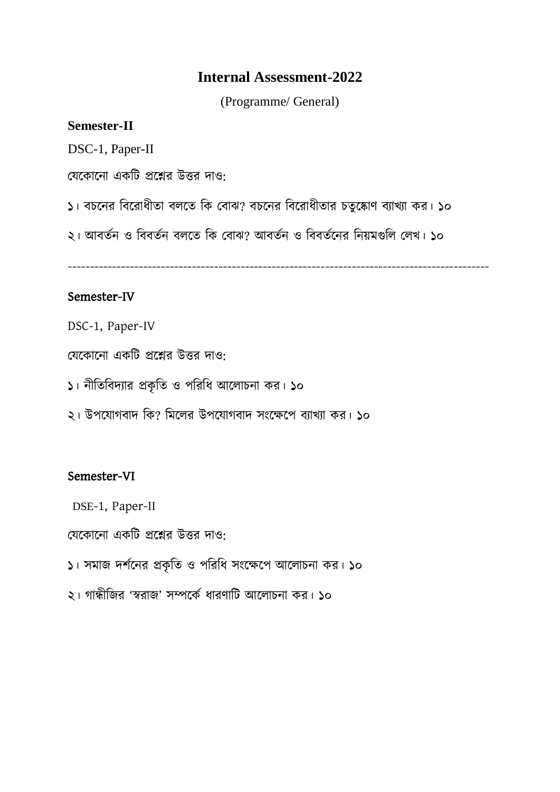## **Internal Assessment-2022**

(Programme/ General)

## **Semester-II**

DSC-1, Paper-II

যেকোনো একটি প্রশ্নের উত্তর দাও:

১। বচনের ববনরোধীতো বলনত বি ববোঝ? বচনের ববনরোধীতোর চতুনকোণ বযোখ্যো ির। ১০

২। আবততে ও বববততে বলনত বি ববোঝ? আবততে ও বববততনের বেয়মগুবল বলখ্। ১০

-----------------------------------------------------------------------------------------------

## Semester-IV

DSC-1, Paper-IV

যেকোনো একটি প্রশ্নের উত্তর দাও:

১। নীতিবিদ্যার প্রকৃতি ও পরিধি আলোচনা কর। ১০

২। উপযোগবাদ কি? মিলের উপযোগবাদ সংক্ষেপে ব্যাখ্যা কর। ১০

## Semester-VI

DSE-1, Paper-II

বেকোনো একটি প্রশ্নের উত্তর দাও:

১। সমোজ দর্তনের প্রিৃবত ও পবরবধ সংনেনপ আনলোচেো ির। ১০

২। গোন্ধীবজর 'স্বরোজ' সম্পনিত ধোরণোবি আনলোচেো ির। ১০